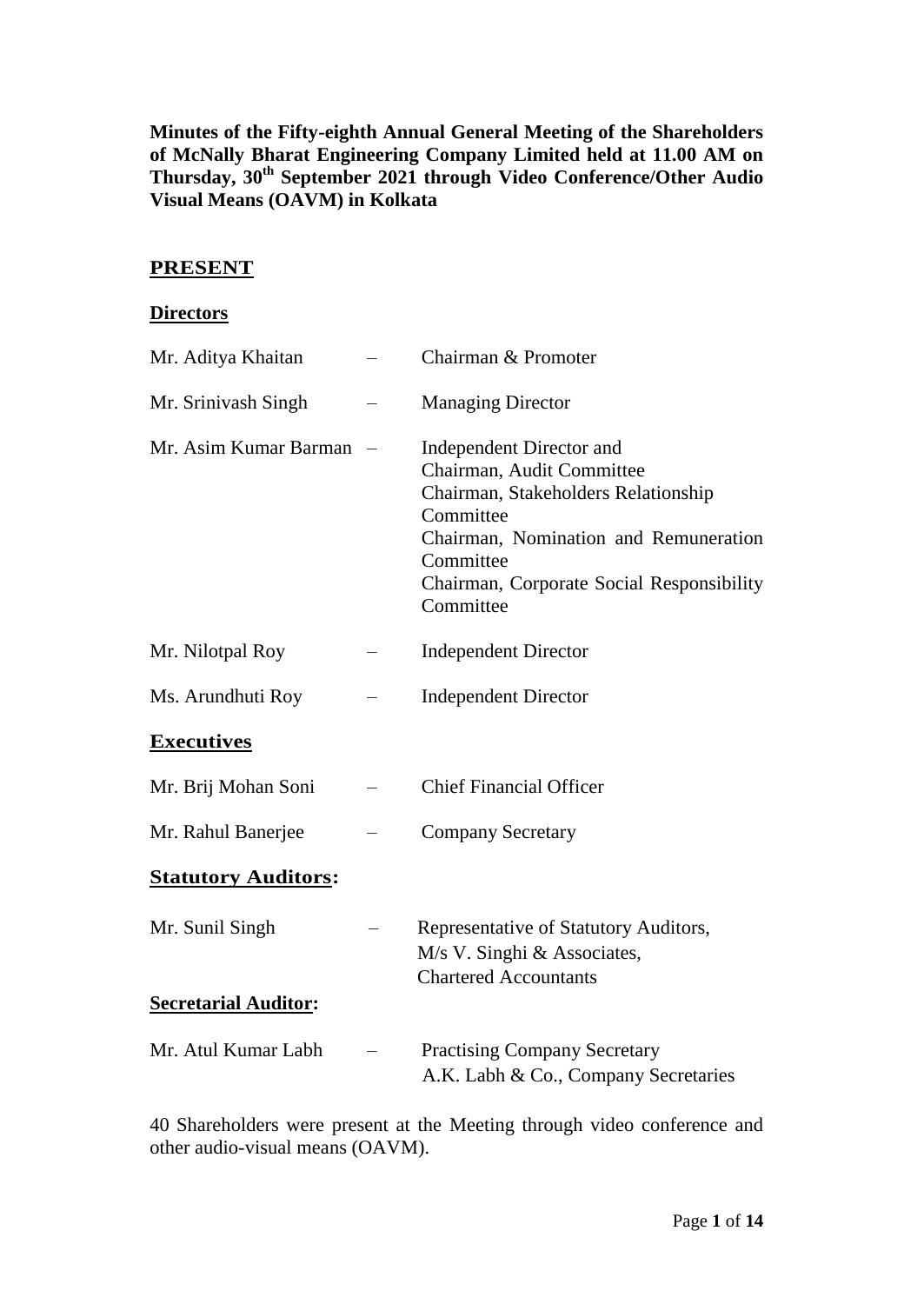**Minutes of the Fifty-eighth Annual General Meeting of the Shareholders of McNally Bharat Engineering Company Limited held at 11.00 AM on Thursday, 30th September 2021 through Video Conference/Other Audio Visual Means (OAVM) in Kolkata**

## **PRESENT**

#### **Directors**

| Mr. Aditya Khaitan                             | Chairman & Promoter                                                                                                                                                                                                              |
|------------------------------------------------|----------------------------------------------------------------------------------------------------------------------------------------------------------------------------------------------------------------------------------|
| Mr. Srinivash Singh                            | <b>Managing Director</b>                                                                                                                                                                                                         |
| Mr. Asim Kumar Barman                          | <b>Independent Director and</b><br>Chairman, Audit Committee<br>Chairman, Stakeholders Relationship<br>Committee<br>Chairman, Nomination and Remuneration<br>Committee<br>Chairman, Corporate Social Responsibility<br>Committee |
| Mr. Nilotpal Roy                               | <b>Independent Director</b>                                                                                                                                                                                                      |
| Ms. Arundhuti Roy                              | <b>Independent Director</b>                                                                                                                                                                                                      |
| <b>Executives</b>                              |                                                                                                                                                                                                                                  |
| Mr. Brij Mohan Soni                            | <b>Chief Financial Officer</b>                                                                                                                                                                                                   |
| Mr. Rahul Banerjee                             | <b>Company Secretary</b>                                                                                                                                                                                                         |
| <b>Statutory Auditors:</b>                     |                                                                                                                                                                                                                                  |
| Mr. Sunil Singh<br><b>Secretarial Auditor:</b> | Representative of Statutory Auditors,<br>M/s V. Singhi & Associates,<br><b>Chartered Accountants</b>                                                                                                                             |
|                                                |                                                                                                                                                                                                                                  |
| Mr. Atul Kumar Labh                            | <b>Practising Company Secretary</b><br>A.K. Labh & Co., Company Secretaries                                                                                                                                                      |

40 Shareholders were present at the Meeting through video conference and other audio-visual means (OAVM).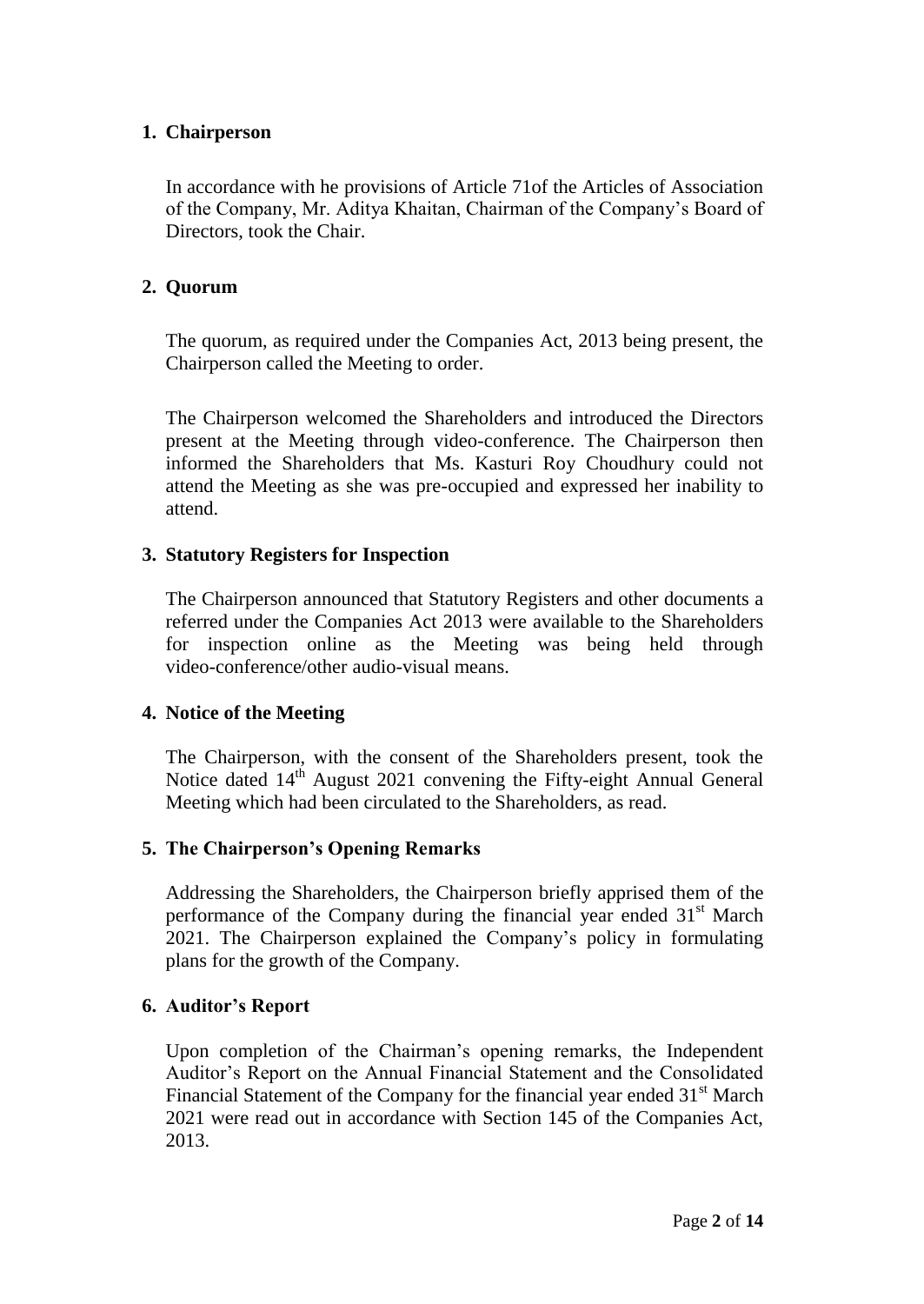## **1. Chairperson**

In accordance with he provisions of Article 71of the Articles of Association of the Company, Mr. Aditya Khaitan, Chairman of the Company's Board of Directors, took the Chair.

## **2. Quorum**

The quorum, as required under the Companies Act, 2013 being present, the Chairperson called the Meeting to order.

The Chairperson welcomed the Shareholders and introduced the Directors present at the Meeting through video-conference. The Chairperson then informed the Shareholders that Ms. Kasturi Roy Choudhury could not attend the Meeting as she was pre-occupied and expressed her inability to attend.

## **3. Statutory Registers for Inspection**

The Chairperson announced that Statutory Registers and other documents a referred under the Companies Act 2013 were available to the Shareholders for inspection online as the Meeting was being held through video-conference/other audio-visual means.

## **4. Notice of the Meeting**

The Chairperson, with the consent of the Shareholders present, took the Notice dated  $14<sup>th</sup>$  August 2021 convening the Fifty-eight Annual General Meeting which had been circulated to the Shareholders, as read.

# **5. The Chairperson's Opening Remarks**

Addressing the Shareholders, the Chairperson briefly apprised them of the performance of the Company during the financial year ended  $31<sup>st</sup>$  March 2021. The Chairperson explained the Company's policy in formulating plans for the growth of the Company.

## **6. Auditor's Report**

Upon completion of the Chairman's opening remarks, the Independent Auditor's Report on the Annual Financial Statement and the Consolidated Financial Statement of the Company for the financial year ended  $31<sup>st</sup>$  March 2021 were read out in accordance with Section 145 of the Companies Act, 2013.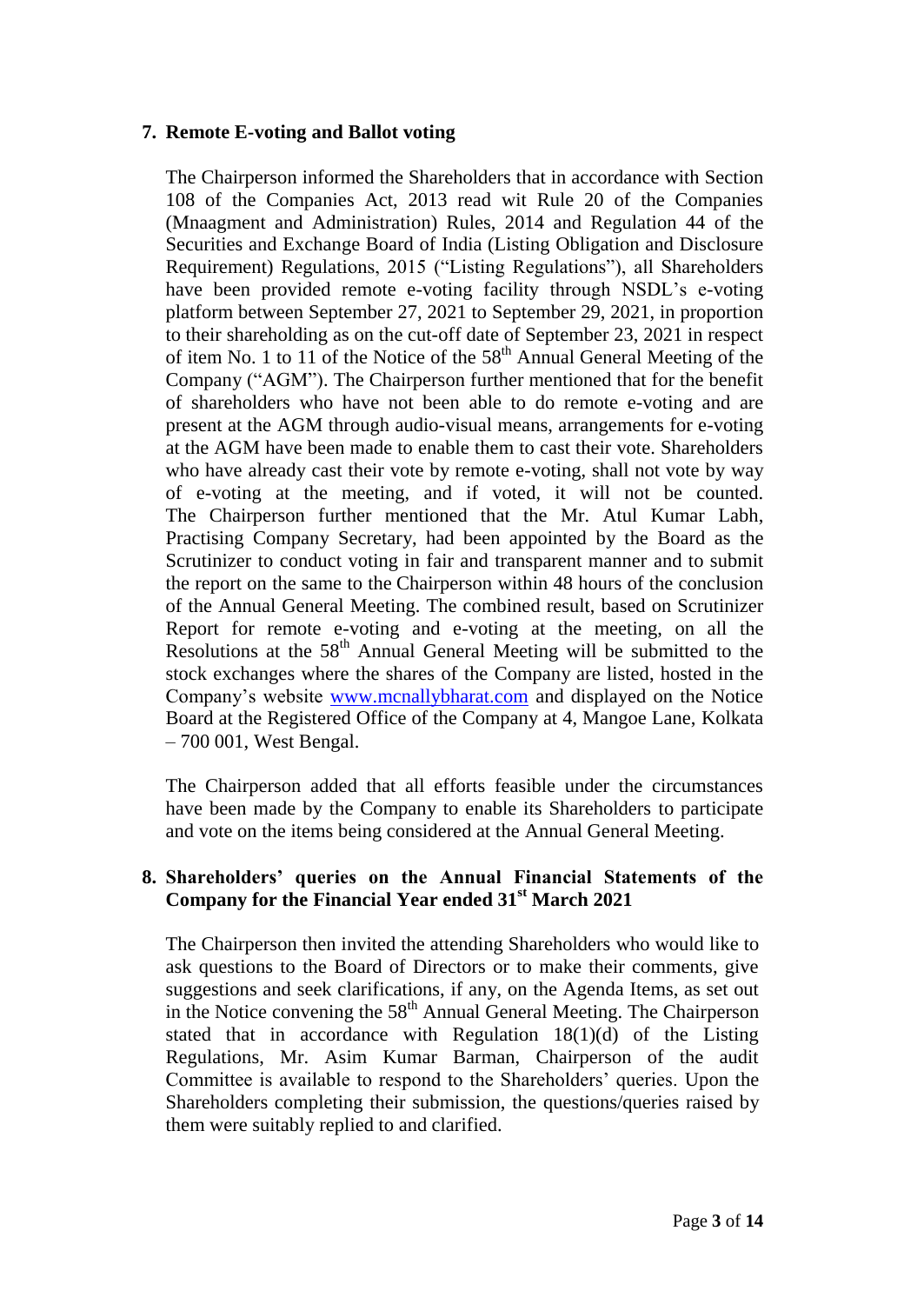## **7. Remote E-voting and Ballot voting**

The Chairperson informed the Shareholders that in accordance with Section 108 of the Companies Act, 2013 read wit Rule 20 of the Companies (Mnaagment and Administration) Rules, 2014 and Regulation 44 of the Securities and Exchange Board of India (Listing Obligation and Disclosure Requirement) Regulations, 2015 ("Listing Regulations"), all Shareholders have been provided remote e-voting facility through NSDL's e-voting platform between September 27, 2021 to September 29, 2021, in proportion to their shareholding as on the cut-off date of September 23, 2021 in respect of item No. 1 to 11 of the Notice of the  $58<sup>th</sup>$  Annual General Meeting of the Company ("AGM"). The Chairperson further mentioned that for the benefit of shareholders who have not been able to do remote e-voting and are present at the AGM through audio-visual means, arrangements for e-voting at the AGM have been made to enable them to cast their vote. Shareholders who have already cast their vote by remote e-voting, shall not vote by way of e-voting at the meeting, and if voted, it will not be counted. The Chairperson further mentioned that the Mr. Atul Kumar Labh, Practising Company Secretary, had been appointed by the Board as the Scrutinizer to conduct voting in fair and transparent manner and to submit the report on the same to the Chairperson within 48 hours of the conclusion of the Annual General Meeting. The combined result, based on Scrutinizer Report for remote e-voting and e-voting at the meeting, on all the Resolutions at the  $58<sup>th</sup>$  Annual General Meeting will be submitted to the stock exchanges where the shares of the Company are listed, hosted in the Company's website [www.mcnallybharat.com](http://www.mcnallybharat.com/) and displayed on the Notice Board at the Registered Office of the Company at 4, Mangoe Lane, Kolkata – 700 001, West Bengal.

The Chairperson added that all efforts feasible under the circumstances have been made by the Company to enable its Shareholders to participate and vote on the items being considered at the Annual General Meeting.

# **8. Shareholders' queries on the Annual Financial Statements of the Company for the Financial Year ended 31st March 2021**

The Chairperson then invited the attending Shareholders who would like to ask questions to the Board of Directors or to make their comments, give suggestions and seek clarifications, if any, on the Agenda Items, as set out in the Notice convening the  $58<sup>th</sup>$  Annual General Meeting. The Chairperson stated that in accordance with Regulation 18(1)(d) of the Listing Regulations, Mr. Asim Kumar Barman, Chairperson of the audit Committee is available to respond to the Shareholders' queries. Upon the Shareholders completing their submission, the questions/queries raised by them were suitably replied to and clarified.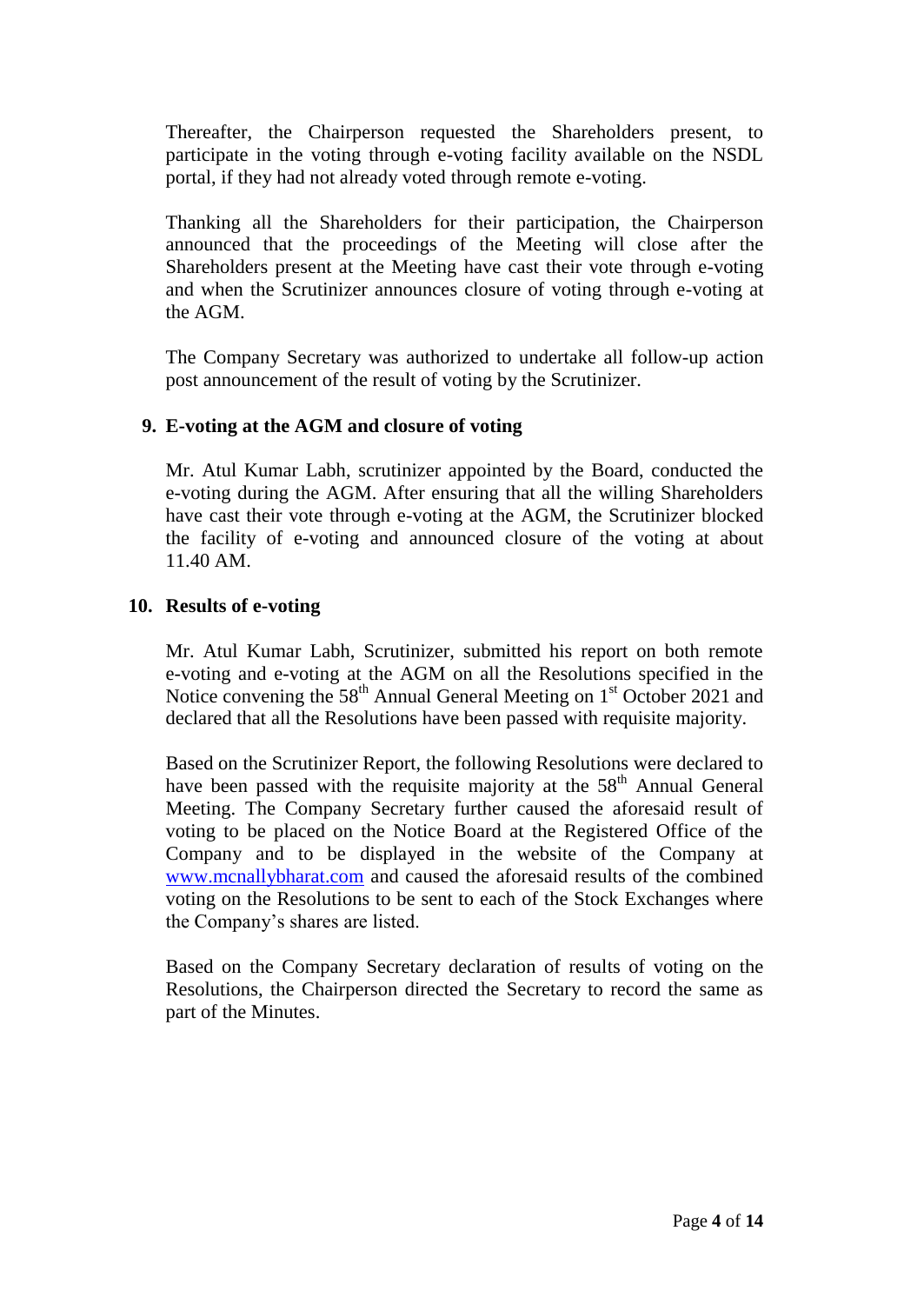Thereafter, the Chairperson requested the Shareholders present, to participate in the voting through e-voting facility available on the NSDL portal, if they had not already voted through remote e-voting.

Thanking all the Shareholders for their participation, the Chairperson announced that the proceedings of the Meeting will close after the Shareholders present at the Meeting have cast their vote through e-voting and when the Scrutinizer announces closure of voting through e-voting at the AGM.

The Company Secretary was authorized to undertake all follow-up action post announcement of the result of voting by the Scrutinizer.

## **9. E-voting at the AGM and closure of voting**

Mr. Atul Kumar Labh, scrutinizer appointed by the Board, conducted the e-voting during the AGM. After ensuring that all the willing Shareholders have cast their vote through e-voting at the AGM, the Scrutinizer blocked the facility of e-voting and announced closure of the voting at about 11.40 AM.

## **10. Results of e-voting**

Mr. Atul Kumar Labh, Scrutinizer, submitted his report on both remote e-voting and e-voting at the AGM on all the Resolutions specified in the Notice convening the  $58<sup>th</sup>$  Annual General Meeting on  $1<sup>st</sup>$  October 2021 and declared that all the Resolutions have been passed with requisite majority.

Based on the Scrutinizer Report, the following Resolutions were declared to have been passed with the requisite majority at the  $58<sup>th</sup>$  Annual General Meeting. The Company Secretary further caused the aforesaid result of voting to be placed on the Notice Board at the Registered Office of the Company and to be displayed in the website of the Company at [www.mcnallybharat.com](http://www.mcnallybharat.com/) and caused the aforesaid results of the combined voting on the Resolutions to be sent to each of the Stock Exchanges where the Company's shares are listed.

Based on the Company Secretary declaration of results of voting on the Resolutions, the Chairperson directed the Secretary to record the same as part of the Minutes.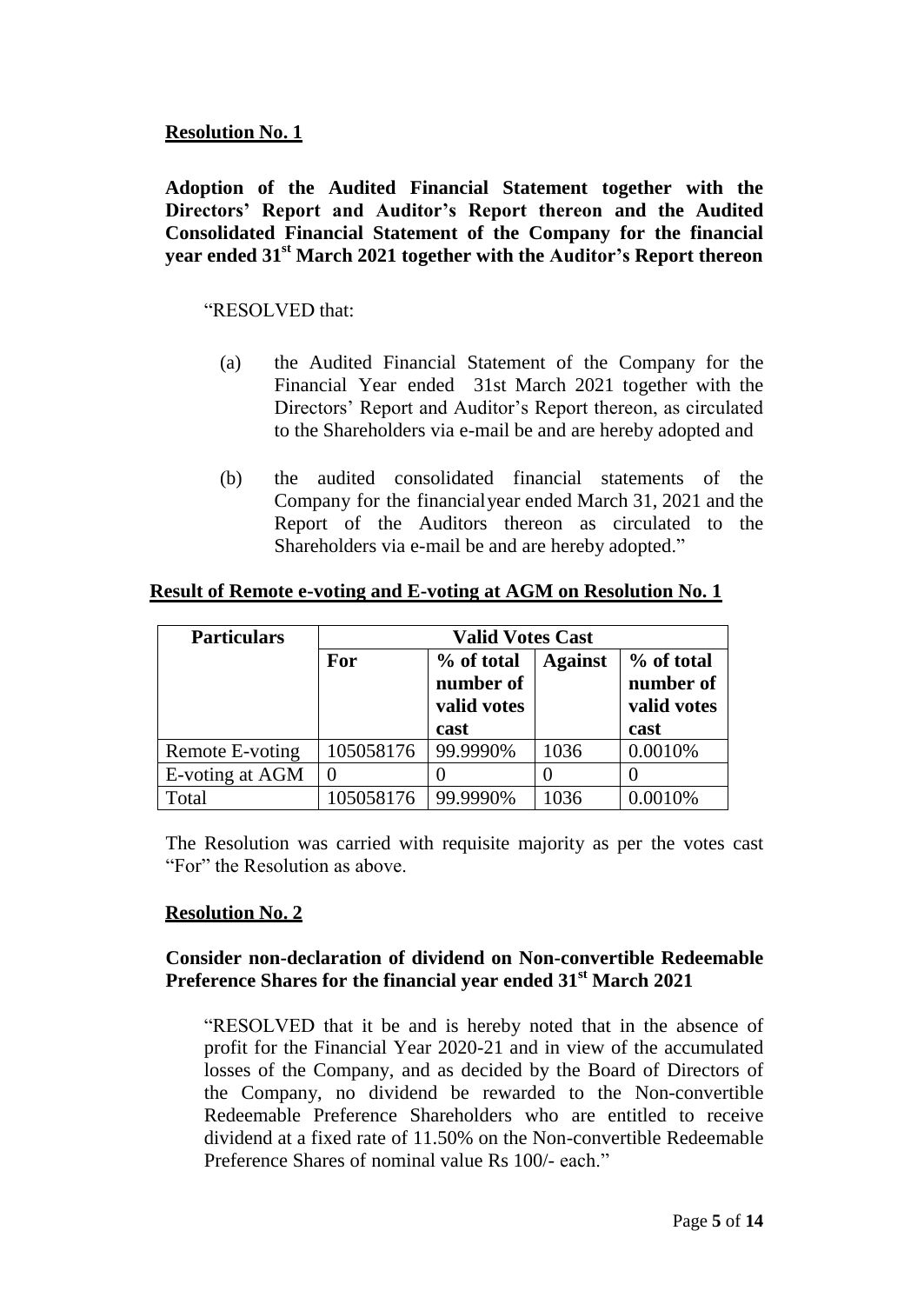## **Resolution No. 1**

**Adoption of the Audited Financial Statement together with the Directors' Report and Auditor's Report thereon and the Audited Consolidated Financial Statement of the Company for the financial year ended 31st March 2021 together with the Auditor's Report thereon**

## "RESOLVED that:

- (a) the Audited Financial Statement of the Company for the Financial Year ended 31st March 2021 together with the Directors' Report and Auditor's Report thereon, as circulated to the Shareholders via e-mail be and are hereby adopted and
- (b) the audited consolidated financial statements of the Company for the financialyear ended March 31, 2021 and the Report of the Auditors thereon as circulated to the Shareholders via e-mail be and are hereby adopted."

| <b>Particulars</b> | <b>Valid Votes Cast</b> |                                        |                |                                        |
|--------------------|-------------------------|----------------------------------------|----------------|----------------------------------------|
|                    | For                     | % of total<br>number of<br>valid votes | <b>Against</b> | % of total<br>number of<br>valid votes |
|                    |                         | cast                                   |                | cast                                   |
| Remote E-voting    | 105058176               | 99.9990%                               | 1036           | 0.0010%                                |
| E-voting at AGM    |                         |                                        |                |                                        |
| Total              | 105058176               | 99.9990%                               | 1036           | 0.0010%                                |

## **Result of Remote e-voting and E-voting at AGM on Resolution No. 1**

The Resolution was carried with requisite majority as per the votes cast "For" the Resolution as above.

## **Resolution No. 2**

## **Consider non-declaration of dividend on Non-convertible Redeemable Preference Shares for the financial year ended 31st March 2021**

"RESOLVED that it be and is hereby noted that in the absence of profit for the Financial Year 2020-21 and in view of the accumulated losses of the Company, and as decided by the Board of Directors of the Company, no dividend be rewarded to the Non-convertible Redeemable Preference Shareholders who are entitled to receive dividend at a fixed rate of 11.50% on the Non-convertible Redeemable Preference Shares of nominal value Rs 100/- each."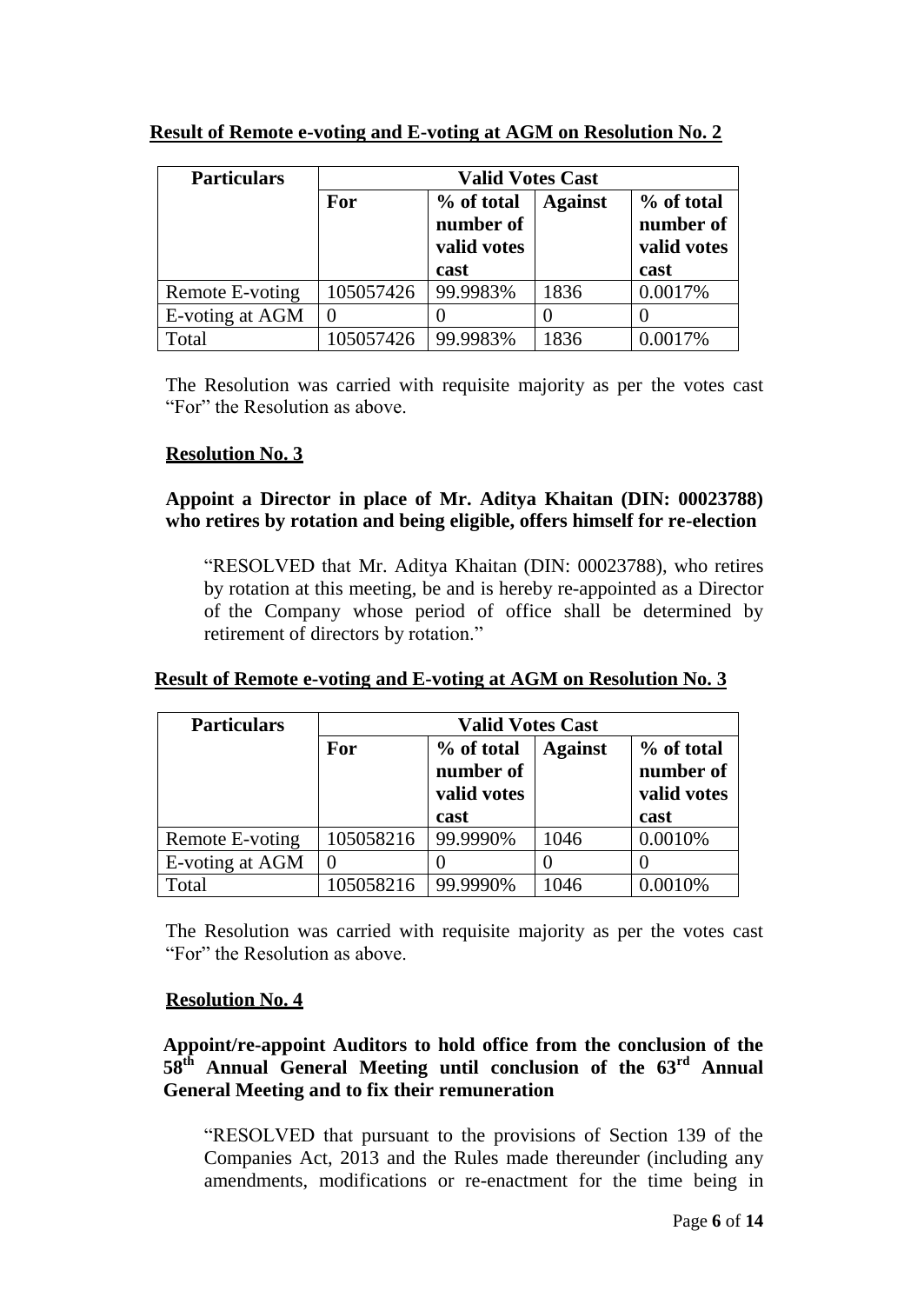| <b>Particulars</b> | <b>Valid Votes Cast</b> |                                                |                |                                                |
|--------------------|-------------------------|------------------------------------------------|----------------|------------------------------------------------|
|                    | For                     | % of total<br>number of<br>valid votes<br>cast | <b>Against</b> | % of total<br>number of<br>valid votes<br>cast |
| Remote E-voting    | 105057426               | 99.9983%                                       | 1836           | 0.0017%                                        |
| E-voting at AGM    | $\theta$                |                                                |                |                                                |
| Total              | 105057426               | 99.9983%                                       | 1836           | 0.0017%                                        |

## **Result of Remote e-voting and E-voting at AGM on Resolution No. 2**

The Resolution was carried with requisite majority as per the votes cast "For" the Resolution as above.

## **Resolution No. 3**

## **Appoint a Director in place of Mr. Aditya Khaitan (DIN: 00023788) who retires by rotation and being eligible, offers himself for re-election**

"RESOLVED that Mr. Aditya Khaitan (DIN: 00023788), who retires by rotation at this meeting, be and is hereby re-appointed as a Director of the Company whose period of office shall be determined by retirement of directors by rotation."

## **Result of Remote e-voting and E-voting at AGM on Resolution No. 3**

| <b>Particulars</b> | <b>Valid Votes Cast</b> |                                        |                |                                        |
|--------------------|-------------------------|----------------------------------------|----------------|----------------------------------------|
|                    | For                     | % of total<br>number of<br>valid votes | <b>Against</b> | % of total<br>number of<br>valid votes |
|                    |                         | cast                                   |                | cast                                   |
| Remote E-voting    | 105058216               | 99.9990%                               | 1046           | 0.0010%                                |
| E-voting at AGM    | $\mathbf{0}$            |                                        |                |                                        |
| Total              | 105058216               | 99.9990%                               | 1046           | 0.0010%                                |

The Resolution was carried with requisite majority as per the votes cast "For" the Resolution as above.

## **Resolution No. 4**

## **Appoint/re-appoint Auditors to hold office from the conclusion of the 58th Annual General Meeting until conclusion of the 63rd Annual General Meeting and to fix their remuneration**

"RESOLVED that pursuant to the provisions of Section 139 of the Companies Act, 2013 and the Rules made thereunder (including any amendments, modifications or re-enactment for the time being in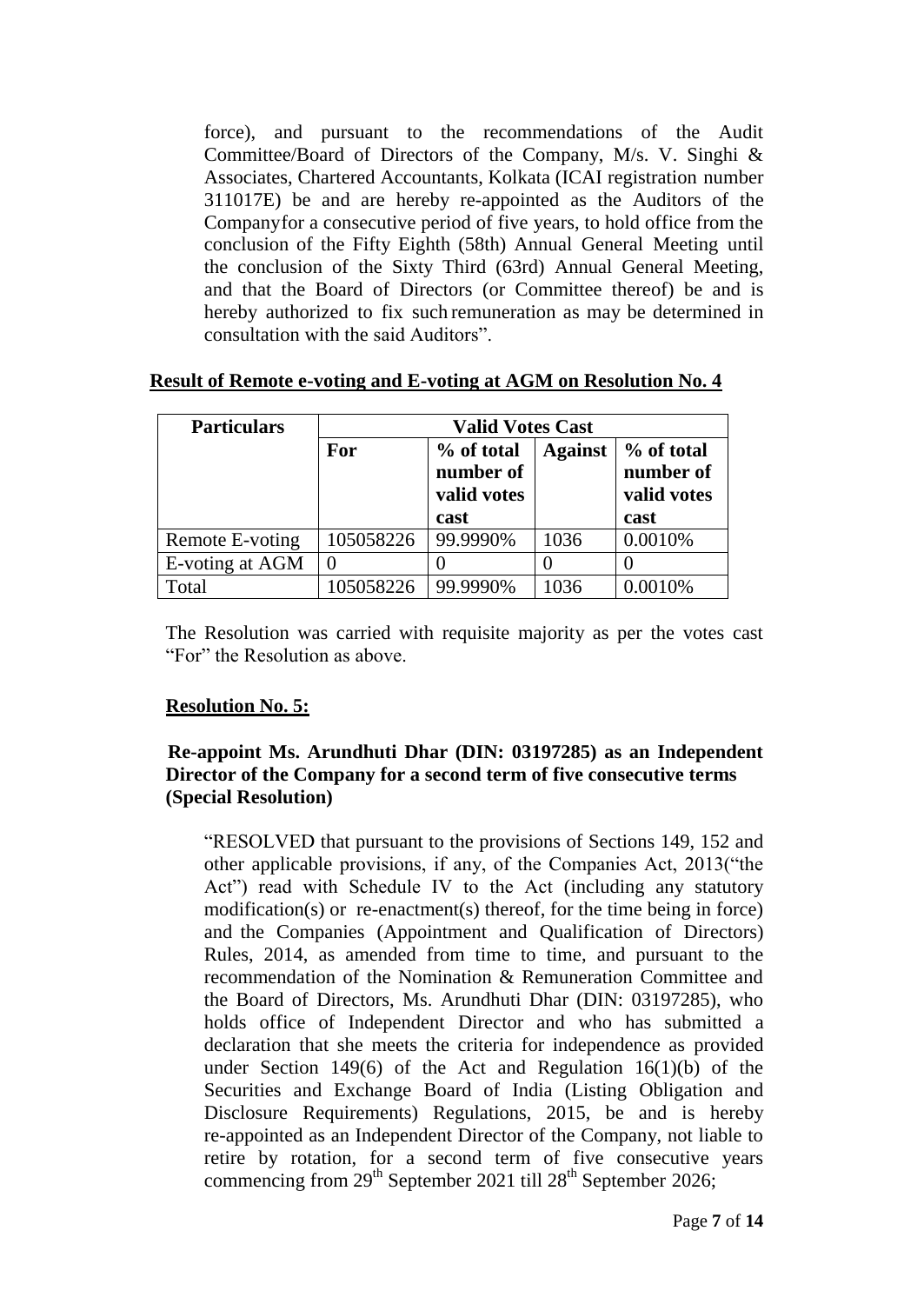force), and pursuant to the recommendations of the Audit Committee/Board of Directors of the Company, M/s. V. Singhi & Associates, Chartered Accountants, Kolkata (ICAI registration number 311017E) be and are hereby re-appointed as the Auditors of the Companyfor a consecutive period of five years, to hold office from the conclusion of the Fifty Eighth (58th) Annual General Meeting until the conclusion of the Sixty Third (63rd) Annual General Meeting, and that the Board of Directors (or Committee thereof) be and is hereby authorized to fix such remuneration as may be determined in consultation with the said Auditors".

| <b>Particulars</b> | <b>Valid Votes Cast</b> |                                                |                |                                                |
|--------------------|-------------------------|------------------------------------------------|----------------|------------------------------------------------|
|                    | For                     | % of total<br>number of<br>valid votes<br>cast | <b>Against</b> | % of total<br>number of<br>valid votes<br>cast |
| Remote E-voting    | 105058226               | 99.9990%                                       | 1036           | 0.0010%                                        |
| E-voting at AGM    | $\overline{0}$          |                                                |                |                                                |
| Total              | 105058226               | 99.9990%                                       | 1036           | 0.0010%                                        |

**Result of Remote e-voting and E-voting at AGM on Resolution No. 4**

The Resolution was carried with requisite majority as per the votes cast "For" the Resolution as above.

## **Resolution No. 5:**

## **Re-appoint Ms. Arundhuti Dhar (DIN: 03197285) as an Independent Director of the Company for a second term of five consecutive terms (Special Resolution)**

"RESOLVED that pursuant to the provisions of Sections 149, 152 and other applicable provisions, if any, of the Companies Act, 2013("the Act") read with Schedule IV to the Act (including any statutory modification(s) or re-enactment(s) thereof, for the time being in force) and the Companies (Appointment and Qualification of Directors) Rules, 2014, as amended from time to time, and pursuant to the recommendation of the Nomination & Remuneration Committee and the Board of Directors, Ms. Arundhuti Dhar (DIN: 03197285), who holds office of Independent Director and who has submitted a declaration that she meets the criteria for independence as provided under Section 149(6) of the Act and Regulation 16(1)(b) of the Securities and Exchange Board of India (Listing Obligation and Disclosure Requirements) Regulations, 2015, be and is hereby re-appointed as an Independent Director of the Company, not liable to retire by rotation, for a second term of five consecutive years commencing from  $29<sup>th</sup>$  September 2021 till  $28<sup>th</sup>$  September 2026;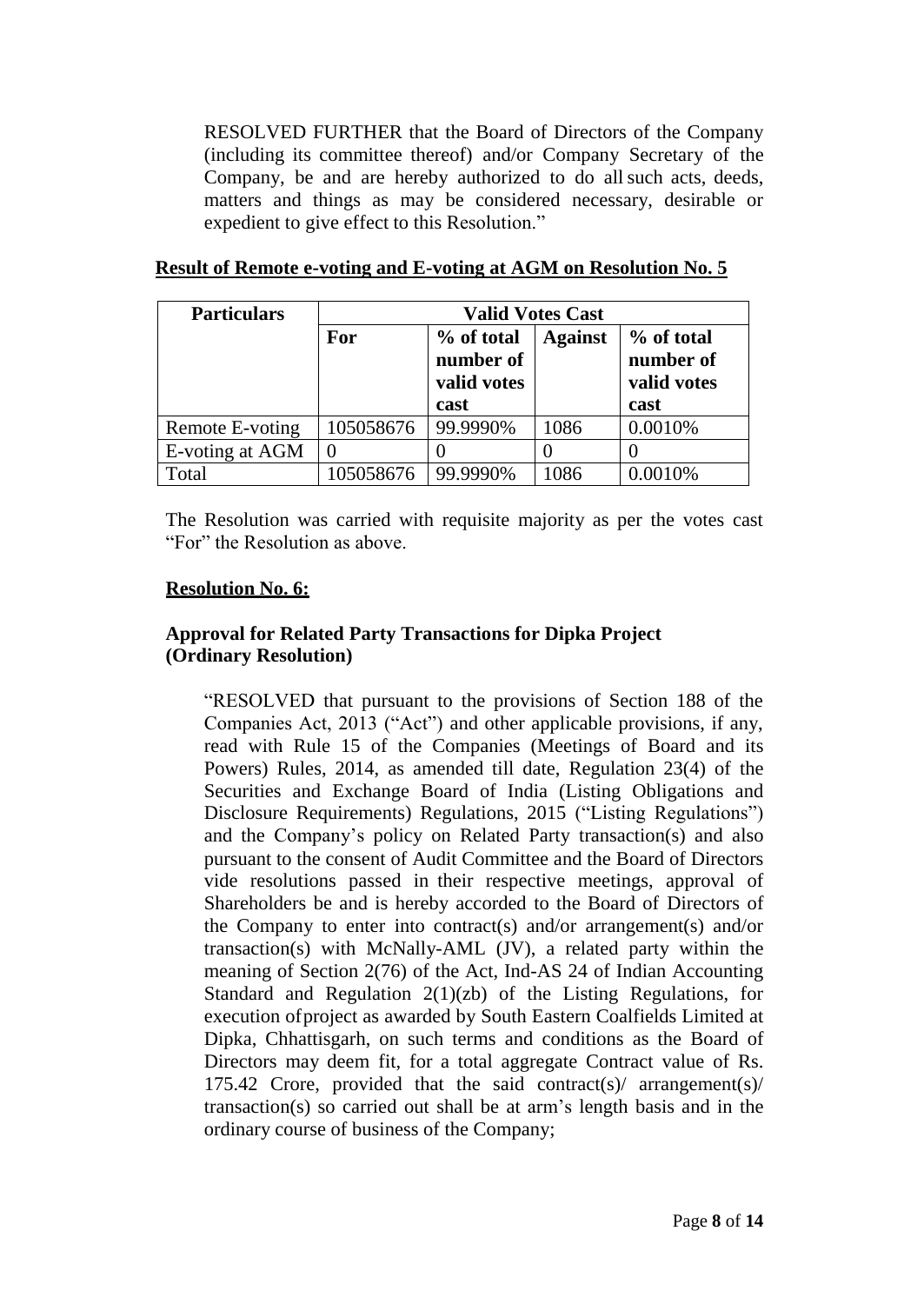RESOLVED FURTHER that the Board of Directors of the Company (including its committee thereof) and/or Company Secretary of the Company, be and are hereby authorized to do allsuch acts, deeds, matters and things as may be considered necessary, desirable or expedient to give effect to this Resolution."

| <b>Particulars</b> | <b>Valid Votes Cast</b> |                                        |      |         |  |
|--------------------|-------------------------|----------------------------------------|------|---------|--|
|                    | For                     | % of total<br>number of<br>valid votes |      |         |  |
|                    |                         | cast                                   |      | cast    |  |
| Remote E-voting    | 105058676               | 99.9990%                               | 1086 | 0.0010% |  |
| E-voting at AGM    |                         |                                        |      |         |  |
| Total              | 105058676               | 99.9990%                               | 1086 | 0.0010% |  |

## **Result of Remote e-voting and E-voting at AGM on Resolution No. 5**

The Resolution was carried with requisite majority as per the votes cast "For" the Resolution as above.

## **Resolution No. 6:**

## **Approval for Related Party Transactions for Dipka Project (Ordinary Resolution)**

"RESOLVED that pursuant to the provisions of Section 188 of the Companies Act, 2013 ("Act") and other applicable provisions, if any, read with Rule 15 of the Companies (Meetings of Board and its Powers) Rules, 2014, as amended till date, Regulation 23(4) of the Securities and Exchange Board of India (Listing Obligations and Disclosure Requirements) Regulations, 2015 ("Listing Regulations") and the Company's policy on Related Party transaction(s) and also pursuant to the consent of Audit Committee and the Board of Directors vide resolutions passed in their respective meetings, approval of Shareholders be and is hereby accorded to the Board of Directors of the Company to enter into contract(s) and/or arrangement(s) and/or transaction(s) with McNally-AML (JV), a related party within the meaning of Section 2(76) of the Act, Ind-AS 24 of Indian Accounting Standard and Regulation 2(1)(zb) of the Listing Regulations, for execution ofproject as awarded by South Eastern Coalfields Limited at Dipka, Chhattisgarh, on such terms and conditions as the Board of Directors may deem fit, for a total aggregate Contract value of Rs. 175.42 Crore, provided that the said contract(s)/ arrangement(s)/ transaction(s) so carried out shall be at arm's length basis and in the ordinary course of business of the Company;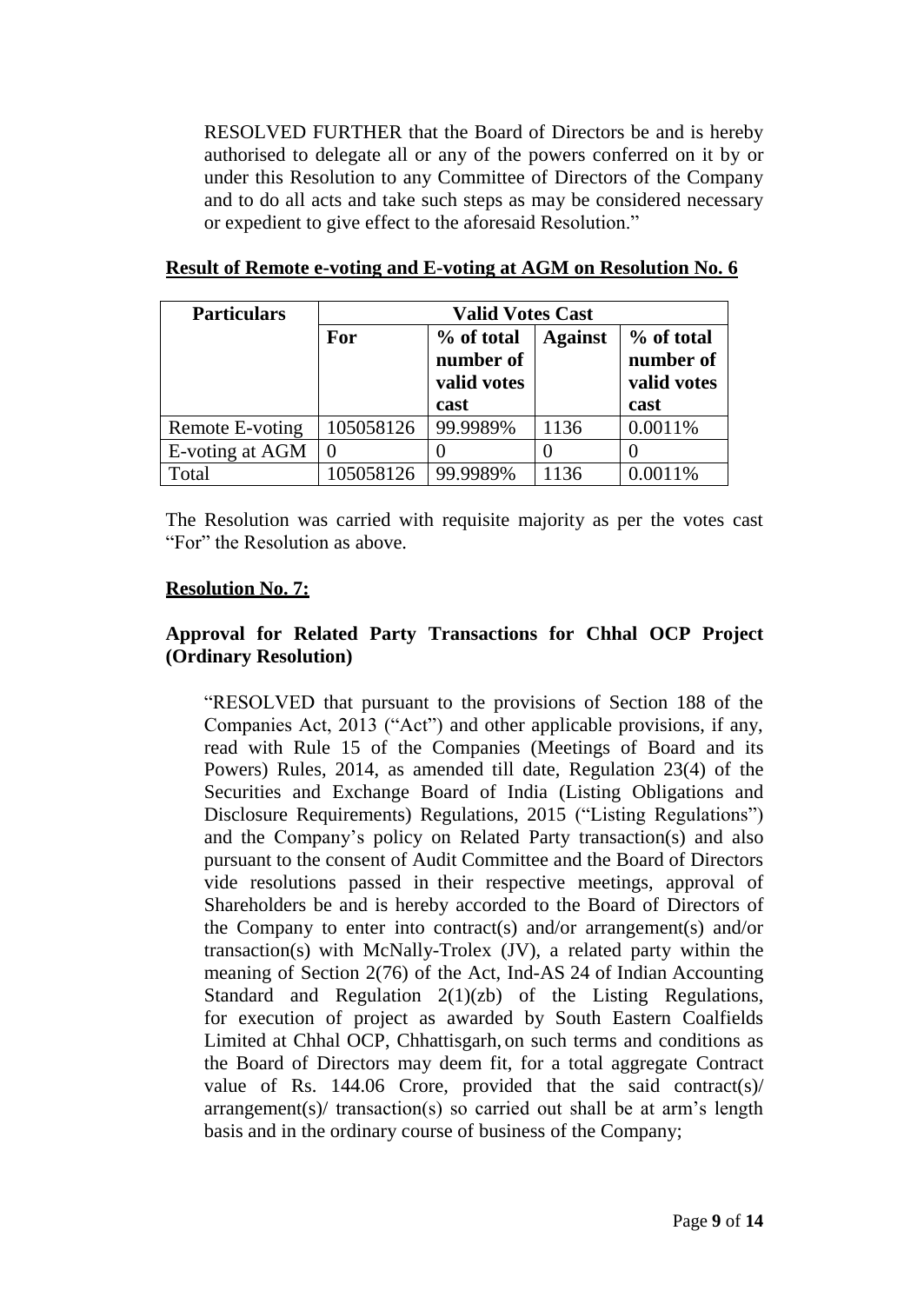RESOLVED FURTHER that the Board of Directors be and is hereby authorised to delegate all or any of the powers conferred on it by or under this Resolution to any Committee of Directors of the Company and to do all acts and take such steps as may be considered necessary or expedient to give effect to the aforesaid Resolution."

| <b>Particulars</b> | <b>Valid Votes Cast</b> |                                                |                |                                                |
|--------------------|-------------------------|------------------------------------------------|----------------|------------------------------------------------|
|                    | For                     | % of total<br>number of<br>valid votes<br>cast | <b>Against</b> | % of total<br>number of<br>valid votes<br>cast |
|                    |                         |                                                |                |                                                |
| Remote E-voting    | 105058126               | 99.9989%                                       | 1136           | 0.0011%                                        |
| E-voting at AGM    | $\theta$                |                                                |                |                                                |
| Total              | 105058126               | 99.9989%                                       | 1136           | 0.0011%                                        |

#### **Result of Remote e-voting and E-voting at AGM on Resolution No. 6**

The Resolution was carried with requisite majority as per the votes cast "For" the Resolution as above.

## **Resolution No. 7:**

## **Approval for Related Party Transactions for Chhal OCP Project (Ordinary Resolution)**

"RESOLVED that pursuant to the provisions of Section 188 of the Companies Act, 2013 ("Act") and other applicable provisions, if any, read with Rule 15 of the Companies (Meetings of Board and its Powers) Rules, 2014, as amended till date, Regulation 23(4) of the Securities and Exchange Board of India (Listing Obligations and Disclosure Requirements) Regulations, 2015 ("Listing Regulations") and the Company's policy on Related Party transaction(s) and also pursuant to the consent of Audit Committee and the Board of Directors vide resolutions passed in their respective meetings, approval of Shareholders be and is hereby accorded to the Board of Directors of the Company to enter into contract(s) and/or arrangement(s) and/or transaction(s) with McNally-Trolex (JV), a related party within the meaning of Section 2(76) of the Act, Ind-AS 24 of Indian Accounting Standard and Regulation 2(1)(zb) of the Listing Regulations, for execution of project as awarded by South Eastern Coalfields Limited at Chhal OCP, Chhattisgarh, on such terms and conditions as the Board of Directors may deem fit, for a total aggregate Contract value of Rs. 144.06 Crore, provided that the said contract(s)/ arrangement(s)/ transaction(s) so carried out shall be at arm's length basis and in the ordinary course of business of the Company;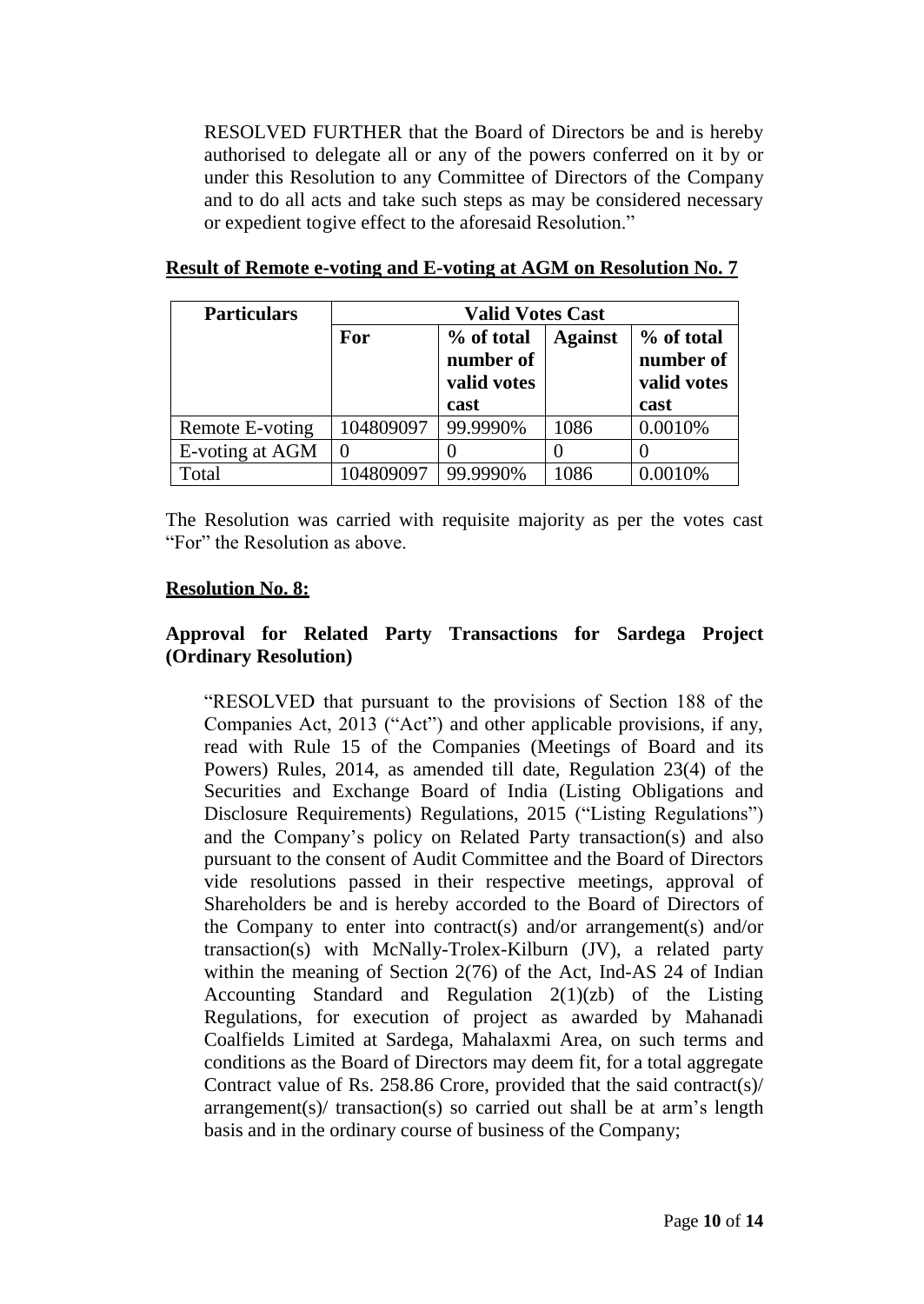RESOLVED FURTHER that the Board of Directors be and is hereby authorised to delegate all or any of the powers conferred on it by or under this Resolution to any Committee of Directors of the Company and to do all acts and take such steps as may be considered necessary or expedient togive effect to the aforesaid Resolution."

| <b>Particulars</b> | <b>Valid Votes Cast</b> |                                        |                |                                        |
|--------------------|-------------------------|----------------------------------------|----------------|----------------------------------------|
|                    | For                     | % of total<br>number of<br>valid votes | <b>Against</b> | % of total<br>number of<br>valid votes |
|                    |                         | cast                                   |                | cast                                   |
| Remote E-voting    | 104809097               | 99.9990%                               | 1086           | 0.0010%                                |
| E-voting at AGM    | $\overline{0}$          |                                        |                |                                        |
| Total              | 104809097               | 99.9990%                               | 1086           | 0.0010%                                |

#### **Result of Remote e-voting and E-voting at AGM on Resolution No. 7**

The Resolution was carried with requisite majority as per the votes cast "For" the Resolution as above.

#### **Resolution No. 8:**

## **Approval for Related Party Transactions for Sardega Project (Ordinary Resolution)**

"RESOLVED that pursuant to the provisions of Section 188 of the Companies Act, 2013 ("Act") and other applicable provisions, if any, read with Rule 15 of the Companies (Meetings of Board and its Powers) Rules, 2014, as amended till date, Regulation 23(4) of the Securities and Exchange Board of India (Listing Obligations and Disclosure Requirements) Regulations, 2015 ("Listing Regulations") and the Company's policy on Related Party transaction(s) and also pursuant to the consent of Audit Committee and the Board of Directors vide resolutions passed in their respective meetings, approval of Shareholders be and is hereby accorded to the Board of Directors of the Company to enter into contract(s) and/or arrangement(s) and/or transaction(s) with McNally-Trolex-Kilburn (JV), a related party within the meaning of Section 2(76) of the Act, Ind-AS 24 of Indian Accounting Standard and Regulation 2(1)(zb) of the Listing Regulations, for execution of project as awarded by Mahanadi Coalfields Limited at Sardega, Mahalaxmi Area, on such terms and conditions as the Board of Directors may deem fit, for a total aggregate Contract value of Rs. 258.86 Crore, provided that the said contract(s)/ arrangement(s)/ transaction(s) so carried out shall be at arm's length basis and in the ordinary course of business of the Company;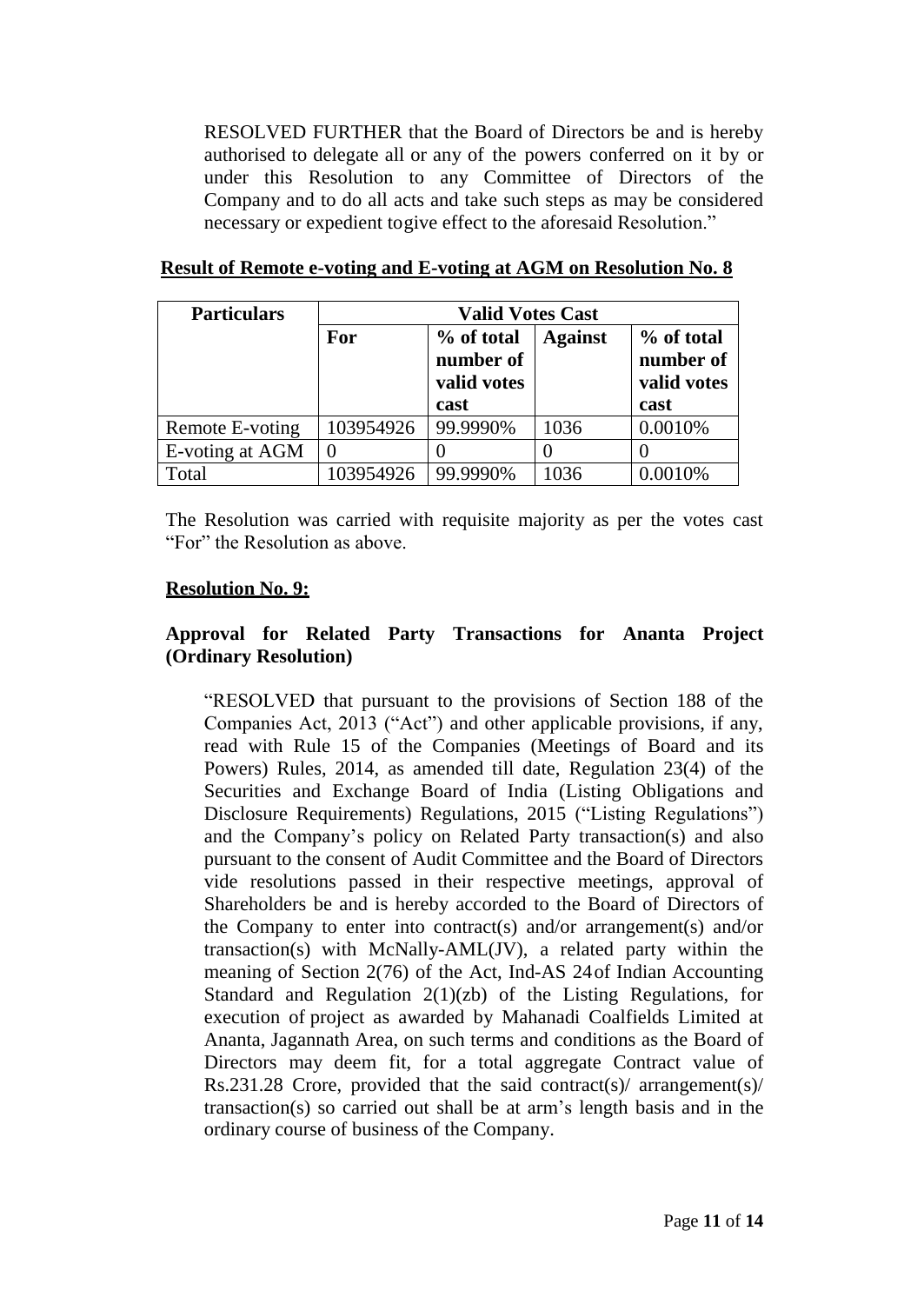RESOLVED FURTHER that the Board of Directors be and is hereby authorised to delegate all or any of the powers conferred on it by or under this Resolution to any Committee of Directors of the Company and to do all acts and take such steps as may be considered necessary or expedient togive effect to the aforesaid Resolution."

| <b>Particulars</b> | <b>Valid Votes Cast</b> |                                                |                |                                                |
|--------------------|-------------------------|------------------------------------------------|----------------|------------------------------------------------|
|                    | For                     | % of total<br>number of<br>valid votes<br>cast | <b>Against</b> | % of total<br>number of<br>valid votes<br>cast |
| Remote E-voting    | 103954926               | 99.9990%                                       | 1036           | 0.0010%                                        |
| E-voting at AGM    | $\theta$                |                                                |                |                                                |
| Total              | 103954926               | 99.9990%                                       | 1036           | 0.0010%                                        |

#### **Result of Remote e-voting and E-voting at AGM on Resolution No. 8**

The Resolution was carried with requisite majority as per the votes cast "For" the Resolution as above.

#### **Resolution No. 9:**

## **Approval for Related Party Transactions for Ananta Project (Ordinary Resolution)**

"RESOLVED that pursuant to the provisions of Section 188 of the Companies Act, 2013 ("Act") and other applicable provisions, if any, read with Rule 15 of the Companies (Meetings of Board and its Powers) Rules, 2014, as amended till date, Regulation 23(4) of the Securities and Exchange Board of India (Listing Obligations and Disclosure Requirements) Regulations, 2015 ("Listing Regulations") and the Company's policy on Related Party transaction(s) and also pursuant to the consent of Audit Committee and the Board of Directors vide resolutions passed in their respective meetings, approval of Shareholders be and is hereby accorded to the Board of Directors of the Company to enter into contract(s) and/or arrangement(s) and/or transaction(s) with McNally-AML(JV), a related party within the meaning of Section 2(76) of the Act, Ind-AS 24of Indian Accounting Standard and Regulation 2(1)(zb) of the Listing Regulations, for execution of project as awarded by Mahanadi Coalfields Limited at Ananta, Jagannath Area, on such terms and conditions as the Board of Directors may deem fit, for a total aggregate Contract value of Rs.231.28 Crore, provided that the said contract(s)/ arrangement(s)/ transaction(s) so carried out shall be at arm's length basis and in the ordinary course of business of the Company.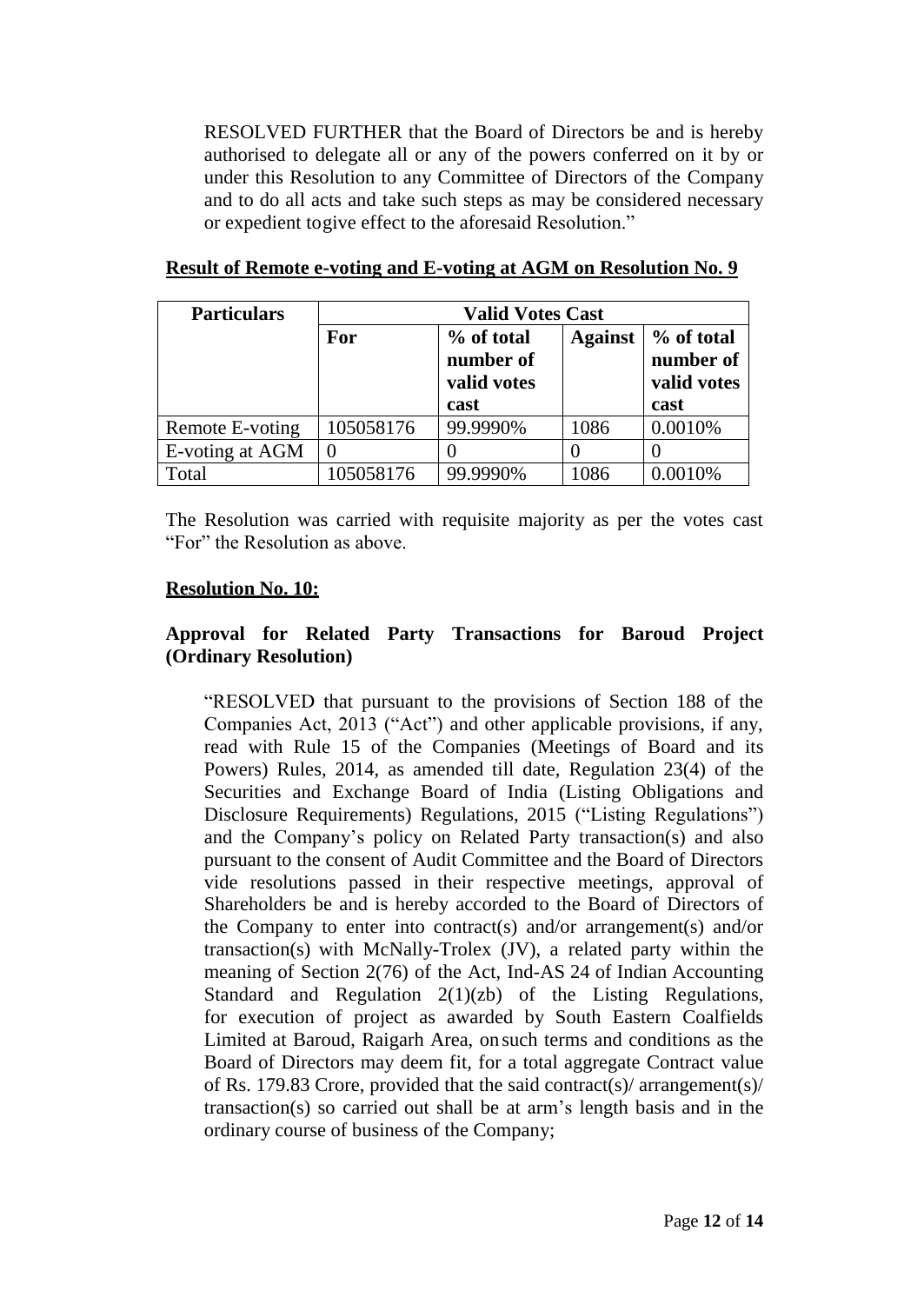RESOLVED FURTHER that the Board of Directors be and is hereby authorised to delegate all or any of the powers conferred on it by or under this Resolution to any Committee of Directors of the Company and to do all acts and take such steps as may be considered necessary or expedient togive effect to the aforesaid Resolution."

| <b>Particulars</b> | <b>Valid Votes Cast</b> |                                                |                |                                                |  |
|--------------------|-------------------------|------------------------------------------------|----------------|------------------------------------------------|--|
|                    | For                     | % of total<br>number of<br>valid votes<br>cast | <b>Against</b> | % of total<br>number of<br>valid votes<br>cast |  |
| Remote E-voting    | 105058176               | 99.9990%                                       | 1086           | 0.0010%                                        |  |
| E-voting at AGM    |                         |                                                |                |                                                |  |
| Total              | 105058176               | 99.9990%                                       | 1086           | 0.0010%                                        |  |

#### **Result of Remote e-voting and E-voting at AGM on Resolution No. 9**

The Resolution was carried with requisite majority as per the votes cast "For" the Resolution as above.

#### **Resolution No. 10:**

## **Approval for Related Party Transactions for Baroud Project (Ordinary Resolution)**

"RESOLVED that pursuant to the provisions of Section 188 of the Companies Act, 2013 ("Act") and other applicable provisions, if any, read with Rule 15 of the Companies (Meetings of Board and its Powers) Rules, 2014, as amended till date, Regulation 23(4) of the Securities and Exchange Board of India (Listing Obligations and Disclosure Requirements) Regulations, 2015 ("Listing Regulations") and the Company's policy on Related Party transaction(s) and also pursuant to the consent of Audit Committee and the Board of Directors vide resolutions passed in their respective meetings, approval of Shareholders be and is hereby accorded to the Board of Directors of the Company to enter into contract(s) and/or arrangement(s) and/or transaction(s) with McNally-Trolex (JV), a related party within the meaning of Section 2(76) of the Act, Ind-AS 24 of Indian Accounting Standard and Regulation 2(1)(zb) of the Listing Regulations, for execution of project as awarded by South Eastern Coalfields Limited at Baroud, Raigarh Area, on such terms and conditions as the Board of Directors may deem fit, for a total aggregate Contract value of Rs. 179.83 Crore, provided that the said contract(s)/ arrangement(s)/ transaction(s) so carried out shall be at arm's length basis and in the ordinary course of business of the Company;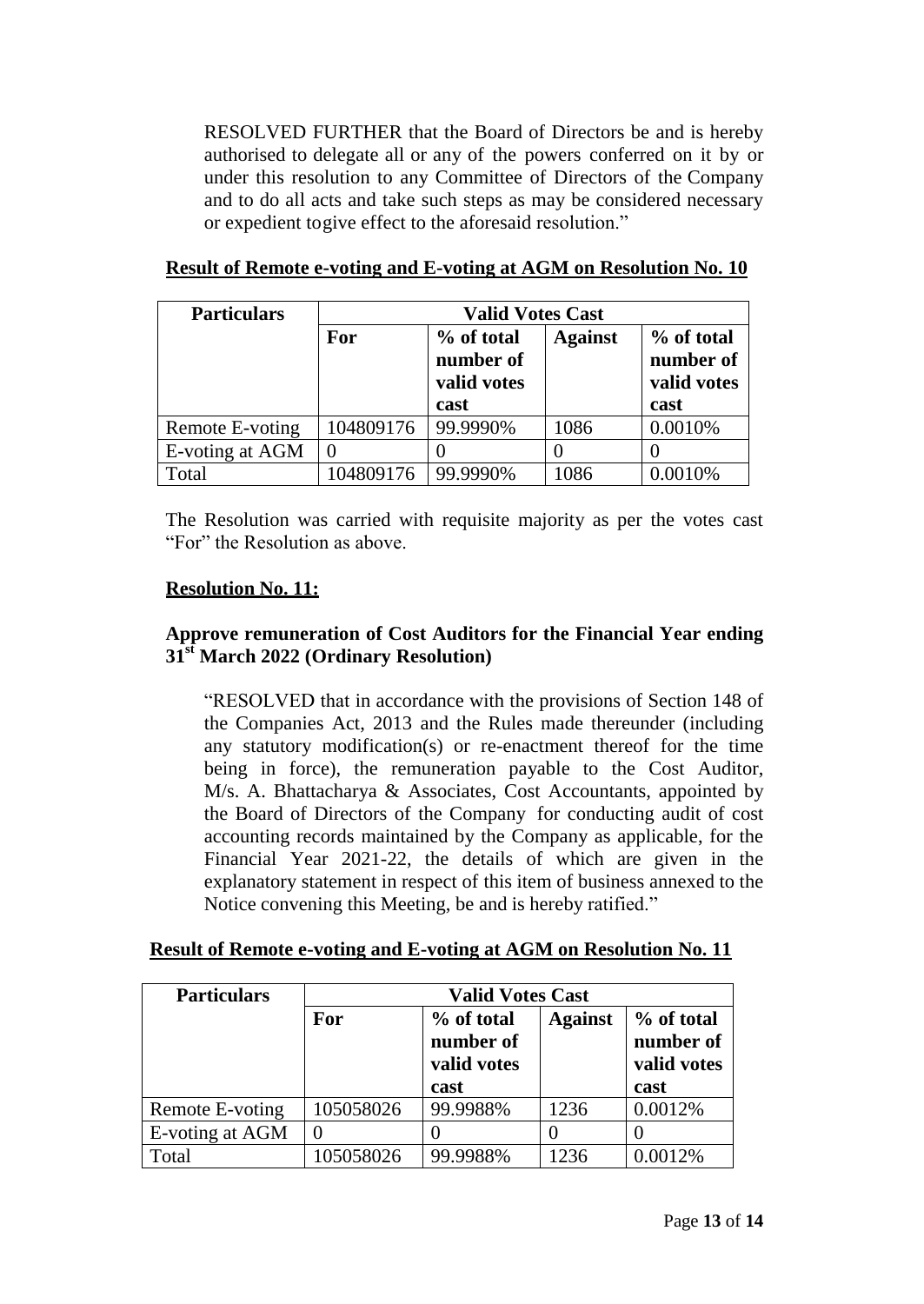RESOLVED FURTHER that the Board of Directors be and is hereby authorised to delegate all or any of the powers conferred on it by or under this resolution to any Committee of Directors of the Company and to do all acts and take such steps as may be considered necessary or expedient togive effect to the aforesaid resolution."

| <b>Particulars</b> | <b>Valid Votes Cast</b> |                                        |                |                                        |
|--------------------|-------------------------|----------------------------------------|----------------|----------------------------------------|
|                    | For                     | % of total<br>number of<br>valid votes | <b>Against</b> | % of total<br>number of<br>valid votes |
|                    |                         | cast                                   |                | cast                                   |
| Remote E-voting    | 104809176               | 99.9990%                               | 1086           | 0.0010%                                |
| E-voting at AGM    |                         |                                        |                |                                        |
| Total              | 104809176               | 99.9990%                               | 1086           | 0.0010%                                |

## **Result of Remote e-voting and E-voting at AGM on Resolution No. 10**

The Resolution was carried with requisite majority as per the votes cast "For" the Resolution as above.

## **Resolution No. 11:**

## **Approve remuneration of Cost Auditors for the Financial Year ending 31st March 2022 (Ordinary Resolution)**

"RESOLVED that in accordance with the provisions of Section 148 of the Companies Act, 2013 and the Rules made thereunder (including any statutory modification(s) or re-enactment thereof for the time being in force), the remuneration payable to the Cost Auditor, M/s. A. Bhattacharya & Associates, Cost Accountants, appointed by the Board of Directors of the Company for conducting audit of cost accounting records maintained by the Company as applicable, for the Financial Year 2021-22, the details of which are given in the explanatory statement in respect of this item of business annexed to the Notice convening this Meeting, be and is hereby ratified."

## **Result of Remote e-voting and E-voting at AGM on Resolution No. 11**

| <b>Particulars</b> | <b>Valid Votes Cast</b> |                                                |                |                                                |
|--------------------|-------------------------|------------------------------------------------|----------------|------------------------------------------------|
|                    | For                     | % of total<br>number of<br>valid votes<br>cast | <b>Against</b> | % of total<br>number of<br>valid votes<br>cast |
| Remote E-voting    | 105058026               | 99.9988%                                       | 1236           | 0.0012%                                        |
| E-voting at AGM    |                         |                                                |                |                                                |
| Total              | 105058026               | 99.9988%                                       | 1236           | 0.0012%                                        |